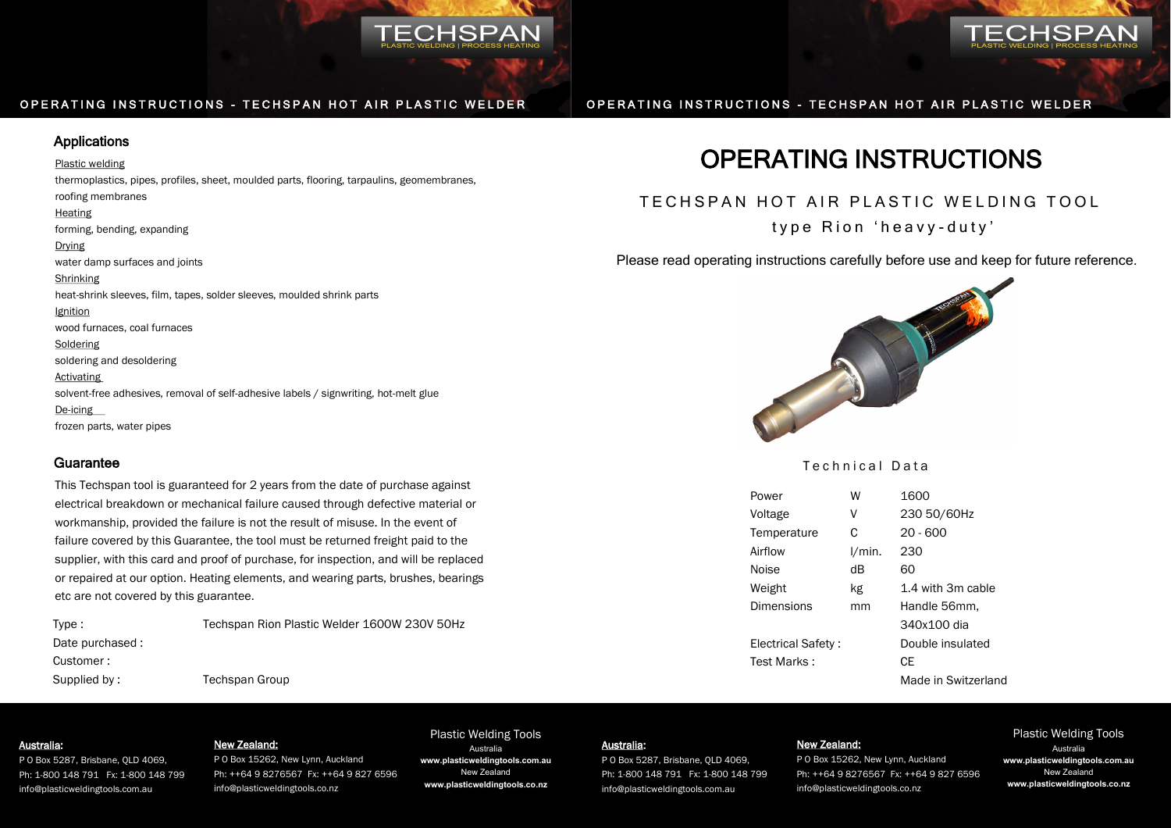

# Applications

#### Plastic welding

thermoplastics, pipes, profiles, sheet, moulded parts, flooring, tarpaulins, geomembranes, roofing membranes Heating forming, bending, expanding Drying water damp surfaces and joints Shrinking heat-shrink sleeves, film, tapes, solder sleeves, moulded shrink parts Ignition wood furnaces, coal furnaces Soldering soldering and desoldering Activating solvent-free adhesives, removal of self-adhesive labels / signwriting, hot-melt glue De-icing frozen parts, water pipes

# **Guarantee**

This Techspan tool is guaranteed for 2 years from the date of purchase against electrical breakdown or mechanical failure caused through defective material or workmanship, provided the failure is not the result of misuse. In the event of failure covered by this Guarantee, the tool must be returned freight paid to the supplier, with this card and proof of purchase, for inspection, and will be replaced or repaired at our option. Heating elements, and wearing parts, brushes, bearings etc are not covered by this guarantee.

| Type:           |  |
|-----------------|--|
| Date purchased: |  |
| Customer:       |  |
| Supplied by:    |  |

Techspan Rion Plastic Welder 1600W 230V 50Hz Techspan Group

# OPERATING INSTRUCTIONS - TECHSPAN HOT AIR PLASTIC WELDER OPERATING INSTRUCTIONS - TECHSPAN HOT AIR PLASTIC WELDER

# OPERATING INSTRUCTIONS

# TECHSPAN HOT AIR PLASTIC WELDING TOOL

type Rion 'heavy-duty'

Please read operating instructions carefully before use and keep for future reference.



# Technical Data

| Power              | W      | 1600                |
|--------------------|--------|---------------------|
| Voltage            | ٧      | 230 50/60Hz         |
| Temperature        | C      | $20 - 600$          |
| Airflow            | l/min. | 230                 |
| Noise              | dВ     | 60                  |
| Weight             | kg     | 1.4 with 3m cable   |
| Dimensions         | mm     | Handle 56mm,        |
|                    |        | 340x100 dia         |
| Electrical Safety: |        | Double insulated    |
| Test Marks:        |        | СE                  |
|                    |        | Made in Switzerland |

## Australia:

P O Box 5287, Brisbane, QLD 4069, Ph: 1-800 148 791 Fx: 1-800 148 799 info@plasticweldingtools.com.au

#### New Zealand:

P O Box 15262, New Lynn, Auckland Ph: ++64 9 8276567 Fx: ++64 9 827 6596 info@plasticweldingtools.co.nz

#### Plastic Welding Tools Australia:

Australia

**www.plasticweldingtools.com.au** New Zealand **www.plasticweldingtools.co.nz**

P O Box 5287, Brisbane, QLD 4069, Ph: 1-800 148 791 Fx: 1-800 148 799 info@plasticweldingtools.com.au

# New Zealand:

P O Box 15262, New Lynn, Auckland Ph: ++64 9 8276567 Fx: ++64 9 827 6596 info@plasticweldingtools.co.nz

#### Plastic Welding Tools Australia **www.plasticweldingtools.com.au** New Zealand **www.plasticweldingtools.co.nz**

**TECHSPAN**